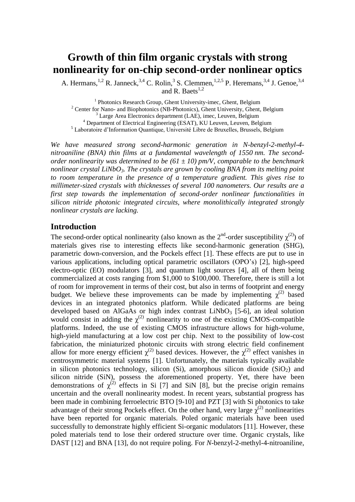# **Growth of thin film organic crystals with strong nonlinearity for on-chip second-order nonlinear optics**

A. Hermans,  $^{1,2}$  R. Janneck,  $^{3,4}$  C. Rolin,  $^3$  S. Clemmen,  $^{1,2,5}$  P. Heremans,  $^{3,4}$  J. Genoe,  $^{3,4}$ and R. Baets $^{1,2}$ 

<sup>1</sup> Photonics Research Group, Ghent University-imec, Ghent, Belgium <sup>2</sup> Center for Nano- and Biophotonics (NB-Photonics), Ghent University, Ghent, Belgium <sup>3</sup> Large Area Electronics department (LAE), imec, Leuven, Belgium <sup>4</sup> Department of Electrical Engineering (ESAT), KU Leuven, Leuven, Belgium <sup>5</sup> Laboratoire d'Information Quantique, Université Libre de Bruxelles, Brussels, Belgium

*We have measured strong second-harmonic generation in N-benzyl-2-methyl-4 nitroaniline (BNA) thin films at a fundamental wavelength of 1550 nm. The secondorder nonlinearity was determined to be (61 ± 10) pm/V, comparable to the benchmark nonlinear crystal LiNbO3. The crystals are grown by cooling BNA from its melting point to room temperature in the presence of a temperature gradient. This gives rise to millimeter-sized crystals with thicknesses of several 100 nanometers. Our results are a first step towards the implementation of second-order nonlinear functionalities in silicon nitride photonic integrated circuits, where monolithically integrated strongly nonlinear crystals are lacking.*

## **Introduction**

The second-order optical nonlinearity (also known as the  $2^{nd}$ -order susceptibility  $\chi^{(2)}$ ) of materials gives rise to interesting effects like second-harmonic generation (SHG), parametric down-conversion, and the Pockels effect [1]. These effects are put to use in various applications, including optical parametric oscillators (OPO's) [2], high-speed electro-optic (EO) modulators [3], and quantum light sources [4], all of them being commercialized at costs ranging from \$1,000 to \$100,000. Therefore, there is still a lot of room for improvement in terms of their cost, but also in terms of footprint and energy budget. We believe these improvements can be made by implementing  $\chi^{(2)}$  based devices in an integrated photonics platform. While dedicated platforms are being developed based on AlGaAs or high index contrast  $LiNbO<sub>3</sub>$  [5-6], an ideal solution would consist in adding the  $\chi^{(2)}$  nonlinearity to one of the existing CMOS-compatible platforms. Indeed, the use of existing CMOS infrastructure allows for high-volume, high-yield manufacturing at a low cost per chip. Next to the possibility of low-cost fabrication, the miniaturized photonic circuits with strong electric field confinement allow for more energy efficient  $\chi^{(2)}$  based devices. However, the  $\chi^{(2)}$  effect vanishes in centrosymmetric material systems [1]. Unfortunately, the materials typically available in silicon photonics technology, silicon (Si), amorphous silicon dioxide (SiO<sub>2</sub>) and silicon nitride (SiN), possess the aforementioned property. Yet, there have been demonstrations of  $\chi^{(2)}$  effects in Si [7] and SiN [8], but the precise origin remains uncertain and the overall nonlinearity modest. In recent years, substantial progress has been made in combining ferroelectric BTO [9-10] and PZT [3] with Si photonics to take advantage of their strong Pockels effect. On the other hand, very large  $\chi^{(2)}$  nonlinearities have been reported for organic materials. Poled organic materials have been used successfully to demonstrate highly efficient Si-organic modulators [11]. However, these poled materials tend to lose their ordered structure over time. Organic crystals, like DAST [12] and BNA [13], do not require poling. For *N*-benzyl-2-methyl-4-nitroaniline,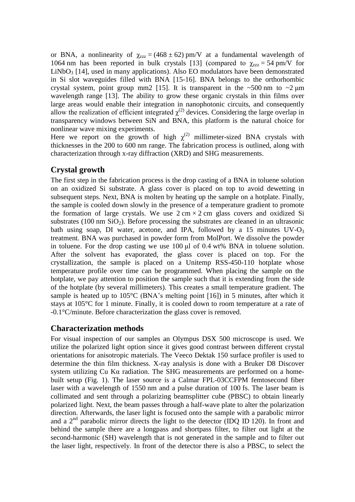or BNA, a nonlinearity of  $\chi_{zzz} = (468 \pm 62)$  pm/V at a fundamental wavelength of 1064 nm has been reported in bulk crystals [13] (compared to  $\gamma_{zzz} = 54$  pm/V for  $LiNbO<sub>3</sub>$  [14], used in many applications). Also EO modulators have been demonstrated in Si slot waveguides filled with BNA [15-16]. BNA belongs to the orthorhombic crystal system, point group mm2 [15]. It is transparent in the  $\sim 500$  nm to  $\sim 2 \mu m$ wavelength range [13]. The ability to grow these organic crystals in thin films over large areas would enable their integration in nanophotonic circuits, and consequently allow the realization of efficient integrated  $\chi^{(2)}$  devices. Considering the large overlap in transparency windows between SiN and BNA, this platform is the natural choice for nonlinear wave mixing experiments.

Here we report on the growth of high  $\chi^{(2)}$  millimeter-sized BNA crystals with thicknesses in the 200 to 600 nm range. The fabrication process is outlined, along with characterization through x-ray diffraction (XRD) and SHG measurements.

## **Crystal growth**

The first step in the fabrication process is the drop casting of a BNA in toluene solution on an oxidized Si substrate. A glass cover is placed on top to avoid dewetting in subsequent steps. Next, BNA is molten by heating up the sample on a hotplate. Finally, the sample is cooled down slowly in the presence of a temperature gradient to promote the formation of large crystals. We use  $2 \text{ cm} \times 2 \text{ cm}$  glass covers and oxidized Si substrates (100 nm  $SiO<sub>2</sub>$ ). Before processing the substrates are cleaned in an ultrasonic bath using soap, DI water, acetone, and IPA, followed by a 15 minutes  $UV-O_3$ treatment. BNA was purchased in powder form from MolPort. We dissolve the powder in toluene. For the drop casting we use 100 μl of 0.4 wt% BNA in toluene solution. After the solvent has evaporated, the glass cover is placed on top. For the crystallization, the sample is placed on a Unitemp RSS-450-110 hotplate whose temperature profile over time can be programmed. When placing the sample on the hotplate, we pay attention to position the sample such that it is extending from the side of the hotplate (by several millimeters). This creates a small temperature gradient. The sample is heated up to 105<sup>o</sup>C (BNA's melting point [16]) in 5 minutes, after which it stays at 105°C for 1 minute. Finally, it is cooled down to room temperature at a rate of -0.1°C/minute. Before characterization the glass cover is removed.

## **Characterization methods**

For visual inspection of our samples an Olympus DSX 500 microscope is used. We utilize the polarized light option since it gives good contrast between different crystal orientations for anisotropic materials. The Veeco Dektak 150 surface profiler is used to determine the thin film thickness. X-ray analysis is done with a Bruker D8 Discover system utilizing Cu Kα radiation. The SHG measurements are performed on a homebuilt setup (Fig. 1). The laser source is a Calmar FPL-03CCFPM femtosecond fiber laser with a wavelength of 1550 nm and a pulse duration of 100 fs. The laser beam is collimated and sent through a polarizing beamsplitter cube (PBSC) to obtain linearly polarized light. Next, the beam passes through a half-wave plate to alter the polarization direction. Afterwards, the laser light is focused onto the sample with a parabolic mirror and a  $2<sup>nd</sup>$  parabolic mirror directs the light to the detector (IDQ ID 120). In front and behind the sample there are a longpass and shortpass filter, to filter out light at the second-harmonic (SH) wavelength that is not generated in the sample and to filter out the laser light, respectively. In front of the detector there is also a PBSC, to select the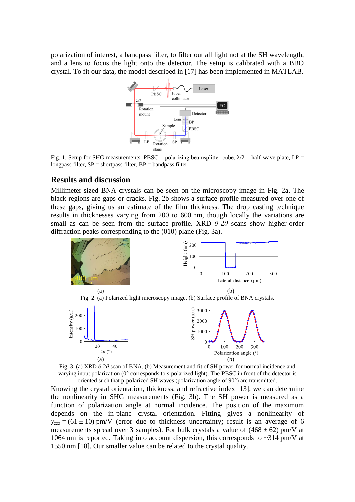polarization of interest, a bandpass filter, to filter out all light not at the SH wavelength, and a lens to focus the light onto the detector. The setup is calibrated with a BBO crystal. To fit our data, the model described in [17] has been implemented in MATLAB.



Fig. 1. Setup for SHG measurements. PBSC = polarizing beamsplitter cube,  $\lambda/2$  = half-wave plate, LP = longpass filter,  $SP =$  shortpass filter,  $BP =$  bandpass filter.

### **Results and discussion**

Millimeter-sized BNA crystals can be seen on the microscopy image in Fig. 2a. The black regions are gaps or cracks. Fig. 2b shows a surface profile measured over one of these gaps, giving us an estimate of the film thickness. The drop casting technique results in thicknesses varying from 200 to 600 nm, though locally the variations are small as can be seen from the surface profile. XRD  $\theta$ -2 $\theta$  scans show higher-order diffraction peaks corresponding to the (010) plane (Fig. 3a).





Knowing the crystal orientation, thickness, and refractive index [13], we can determine the nonlinearity in SHG measurements (Fig. 3b). The SH power is measured as a function of polarization angle at normal incidence. The position of the maximum depends on the in-plane crystal orientation. Fitting gives a nonlinearity of  $\gamma_{zzz}$  = (61  $\pm$  10) pm/V (error due to thickness uncertainty; result is an average of 6 measurements spread over 3 samples). For bulk crystals a value of  $(468 \pm 62)$  pm/V at 1064 nm is reported. Taking into account dispersion, this corresponds to ~314 pm/V at 1550 nm [18]. Our smaller value can be related to the crystal quality.